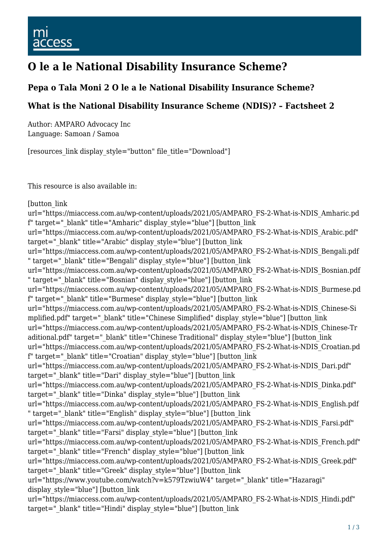## **O le a le National Disability Insurance Scheme?**

#### **Pepa o Tala Moni 2 O le a le National Disability Insurance Scheme?**

#### **What is the National Disability Insurance Scheme (NDIS)? – Factsheet 2**

Author: AMPARO Advocacy Inc Language: Samoan / Samoa

[resources\_link display\_style="button" file\_title="Download"]

This resource is also available in:

[button link]

url="https://miaccess.com.au/wp-content/uploads/2021/05/AMPARO\_FS-2-What-is-NDIS\_Amharic.pd f" target="\_blank" title="Amharic" display\_style="blue"] [button\_link url="https://miaccess.com.au/wp-content/uploads/2021/05/AMPARO\_FS-2-What-is-NDIS\_Arabic.pdf" target=" blank" title="Arabic" display style="blue"] [button\_link url="https://miaccess.com.au/wp-content/uploads/2021/05/AMPARO\_FS-2-What-is-NDIS\_Bengali.pdf " target="\_blank" title="Bengali" display\_style="blue"] [button\_link url="https://miaccess.com.au/wp-content/uploads/2021/05/AMPARO\_FS-2-What-is-NDIS\_Bosnian.pdf " target="\_blank" title="Bosnian" display\_style="blue"] [button\_link url="https://miaccess.com.au/wp-content/uploads/2021/05/AMPARO\_FS-2-What-is-NDIS\_Burmese.pd f" target="\_blank" title="Burmese" display\_style="blue"] [button\_link url="https://miaccess.com.au/wp-content/uploads/2021/05/AMPARO\_FS-2-What-is-NDIS\_Chinese-Si mplified.pdf" target="\_blank" title="Chinese Simplified" display\_style="blue"] [button\_link url="https://miaccess.com.au/wp-content/uploads/2021/05/AMPARO\_FS-2-What-is-NDIS\_Chinese-Tr aditional.pdf" target=" blank" title="Chinese Traditional" display style="blue"] [button link url="https://miaccess.com.au/wp-content/uploads/2021/05/AMPARO\_FS-2-What-is-NDIS\_Croatian.pd f" target="\_blank" title="Croatian" display\_style="blue"] [button\_link url="https://miaccess.com.au/wp-content/uploads/2021/05/AMPARO\_FS-2-What-is-NDIS\_Dari.pdf" target=" blank" title="Dari" display style="blue"] [button\_link url="https://miaccess.com.au/wp-content/uploads/2021/05/AMPARO\_FS-2-What-is-NDIS\_Dinka.pdf" target=" blank" title="Dinka" display style="blue"] [button link url="https://miaccess.com.au/wp-content/uploads/2021/05/AMPARO\_FS-2-What-is-NDIS\_English.pdf " target="\_blank" title="English" display\_style="blue"] [button\_link url="https://miaccess.com.au/wp-content/uploads/2021/05/AMPARO\_FS-2-What-is-NDIS\_Farsi.pdf" target=" blank" title="Farsi" display style="blue"] [button\_link url="https://miaccess.com.au/wp-content/uploads/2021/05/AMPARO\_FS-2-What-is-NDIS\_French.pdf" target=" blank" title="French" display style="blue"] [button link url="https://miaccess.com.au/wp-content/uploads/2021/05/AMPARO\_FS-2-What-is-NDIS\_Greek.pdf" target=" blank" title="Greek" display style="blue"] [button\_link url="https://www.youtube.com/watch?v=k579TzwiuW4" target="\_blank" title="Hazaragi" display\_style="blue"] [button\_link url="https://miaccess.com.au/wp-content/uploads/2021/05/AMPARO\_FS-2-What-is-NDIS\_Hindi.pdf" target=" blank" title="Hindi" display style="blue"] [button link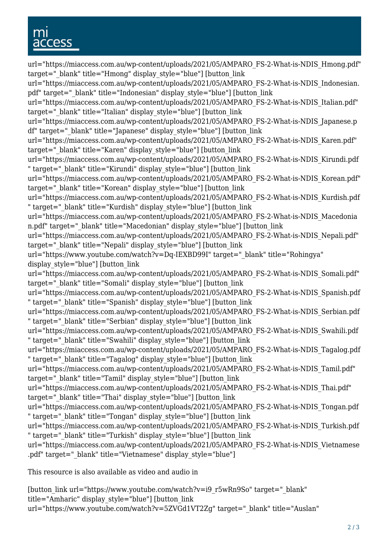# cess

url="https://miaccess.com.au/wp-content/uploads/2021/05/AMPARO\_FS-2-What-is-NDIS\_Hmong.pdf" target=" blank" title="Hmong" display style="blue"] [button link url="https://miaccess.com.au/wp-content/uploads/2021/05/AMPARO\_FS-2-What-is-NDIS\_Indonesian. pdf" target="\_blank" title="Indonesian" display\_style="blue"] [button\_link url="https://miaccess.com.au/wp-content/uploads/2021/05/AMPARO\_FS-2-What-is-NDIS\_Italian.pdf" target=" blank" title="Italian" display style="blue"] [button\_link url="https://miaccess.com.au/wp-content/uploads/2021/05/AMPARO\_FS-2-What-is-NDIS\_Japanese.p df" target="\_blank" title="Japanese" display\_style="blue"] [button\_link url="https://miaccess.com.au/wp-content/uploads/2021/05/AMPARO\_FS-2-What-is-NDIS\_Karen.pdf" target=" blank" title="Karen" display style="blue"] [button link url="https://miaccess.com.au/wp-content/uploads/2021/05/AMPARO\_FS-2-What-is-NDIS\_Kirundi.pdf " target="\_blank" title="Kirundi" display\_style="blue"] [button\_link url="https://miaccess.com.au/wp-content/uploads/2021/05/AMPARO\_FS-2-What-is-NDIS\_Korean.pdf" target=" blank" title="Korean" display style="blue"] [button\_link url="https://miaccess.com.au/wp-content/uploads/2021/05/AMPARO\_FS-2-What-is-NDIS\_Kurdish.pdf " target="\_blank" title="Kurdish" display\_style="blue"] [button\_link url="https://miaccess.com.au/wp-content/uploads/2021/05/AMPARO\_FS-2-What-is-NDIS\_Macedonia n.pdf" target=" blank" title="Macedonian" display style="blue"] [button link url="https://miaccess.com.au/wp-content/uploads/2021/05/AMPARO\_FS-2-What-is-NDIS\_Nepali.pdf" target=" blank" title="Nepali" display style="blue"] [button\_link] url="https://www.youtube.com/watch?v=Dq-IEXBD99I" target="\_blank" title="Rohingya" display style="blue"] [button link url="https://miaccess.com.au/wp-content/uploads/2021/05/AMPARO\_FS-2-What-is-NDIS\_Somali.pdf" target=" blank" title="Somali" display style="blue"] [button\_link] url="https://miaccess.com.au/wp-content/uploads/2021/05/AMPARO\_FS-2-What-is-NDIS\_Spanish.pdf " target="\_blank" title="Spanish" display\_style="blue"] [button\_link url="https://miaccess.com.au/wp-content/uploads/2021/05/AMPARO\_FS-2-What-is-NDIS\_Serbian.pdf " target=" blank" title="Serbian" display style="blue"] [button\_link] url="https://miaccess.com.au/wp-content/uploads/2021/05/AMPARO\_FS-2-What-is-NDIS\_Swahili.pdf " target="\_blank" title="Swahili" display\_style="blue"] [button\_link url="https://miaccess.com.au/wp-content/uploads/2021/05/AMPARO\_FS-2-What-is-NDIS\_Tagalog.pdf " target="\_blank" title="Tagalog" display\_style="blue"] [button\_link url="https://miaccess.com.au/wp-content/uploads/2021/05/AMPARO\_FS-2-What-is-NDIS\_Tamil.pdf" target=" blank" title="Tamil" display style="blue"] [button\_link url="https://miaccess.com.au/wp-content/uploads/2021/05/AMPARO\_FS-2-What-is-NDIS\_Thai.pdf" target=" blank" title="Thai" display style="blue"] [button\_link url="https://miaccess.com.au/wp-content/uploads/2021/05/AMPARO\_FS-2-What-is-NDIS\_Tongan.pdf " target=" blank" title="Tongan" display style="blue"] [button link url="https://miaccess.com.au/wp-content/uploads/2021/05/AMPARO\_FS-2-What-is-NDIS\_Turkish.pdf " target="\_blank" title="Turkish" display\_style="blue"] [button\_link url="https://miaccess.com.au/wp-content/uploads/2021/05/AMPARO\_FS-2-What-is-NDIS\_Vietnamese .pdf" target=" blank" title="Vietnamese" display style="blue"]

This resource is also available as video and audio in

[button\_link url="https://www.youtube.com/watch?v=i9\_r5wRn9So" target="\_blank" title="Amharic" display\_style="blue"] [button\_link url="https://www.youtube.com/watch?v=5ZVGd1VT2Zg" target="\_blank" title="Auslan"